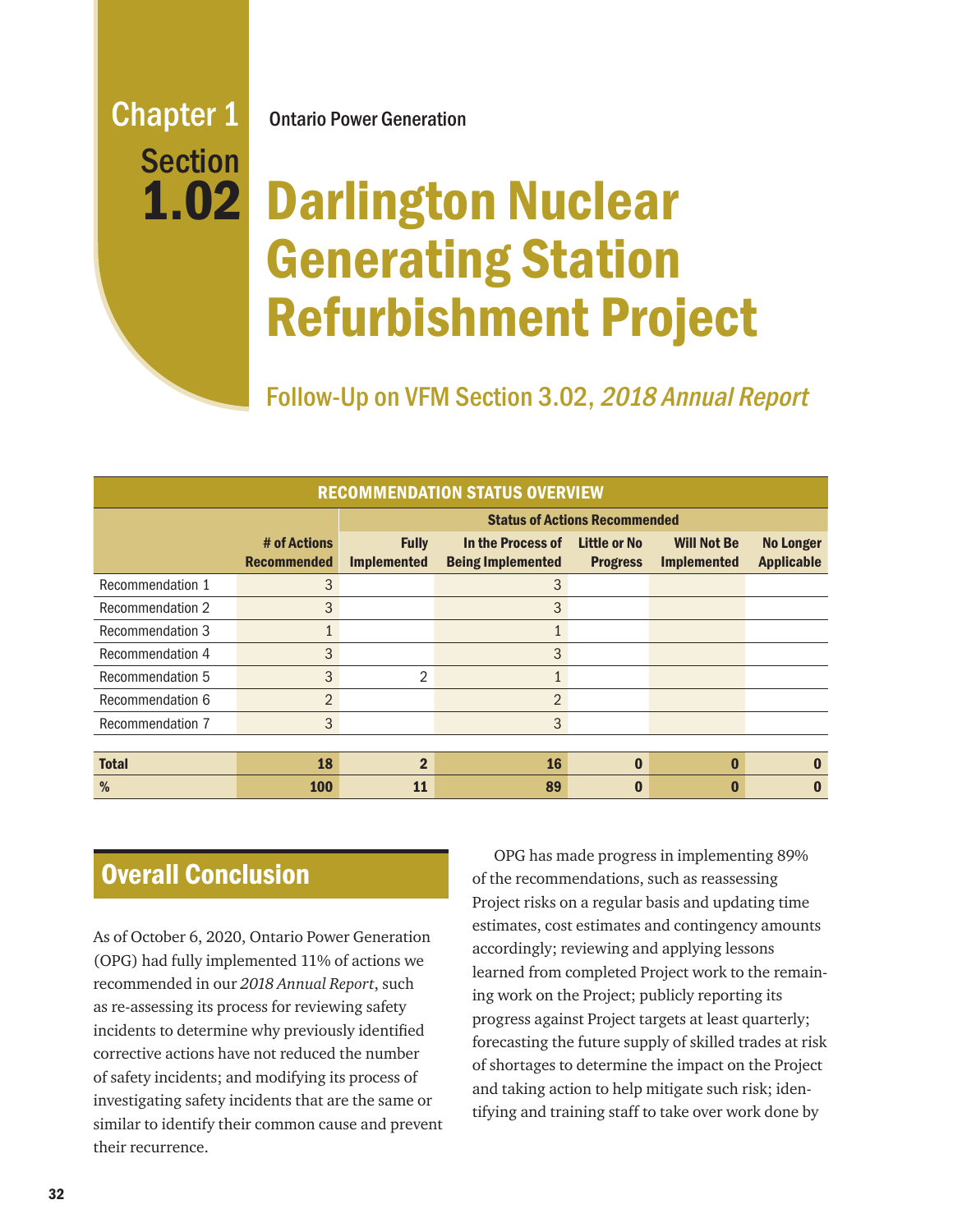# Section 1.02

Chapter 1 Ontario Power Generation

## Darlington Nuclear Generating Station Refurbishment Project

Follow-Up on VFM Section 3.02, 2018 Annual Report

| <b>RECOMMENDATION STATUS OVERVIEW</b> |                                    |                                      |                                               |                                 |                                          |                                       |
|---------------------------------------|------------------------------------|--------------------------------------|-----------------------------------------------|---------------------------------|------------------------------------------|---------------------------------------|
|                                       |                                    | <b>Status of Actions Recommended</b> |                                               |                                 |                                          |                                       |
|                                       | # of Actions<br><b>Recommended</b> | <b>Fully</b><br><b>Implemented</b>   | In the Process of<br><b>Being Implemented</b> | Little or No<br><b>Progress</b> | <b>Will Not Be</b><br><b>Implemented</b> | <b>No Longer</b><br><b>Applicable</b> |
| Recommendation 1                      | 3                                  |                                      | 3                                             |                                 |                                          |                                       |
| Recommendation 2                      | 3                                  |                                      | 3                                             |                                 |                                          |                                       |
| Recommendation 3                      | $\mathbf{1}$                       |                                      | 1                                             |                                 |                                          |                                       |
| Recommendation 4                      | 3                                  |                                      | 3                                             |                                 |                                          |                                       |
| Recommendation 5                      | 3                                  | 2                                    |                                               |                                 |                                          |                                       |
| Recommendation 6                      | 2                                  |                                      | $\overline{2}$                                |                                 |                                          |                                       |
| Recommendation 7                      | 3                                  |                                      | 3                                             |                                 |                                          |                                       |
|                                       |                                    |                                      |                                               |                                 |                                          |                                       |
| <b>Total</b>                          | 18                                 | $\overline{2}$                       | <b>16</b>                                     | $\Omega$                        | $\mathbf{0}$                             | O                                     |
| %                                     | <b>100</b>                         | 11                                   | 89                                            |                                 |                                          | O                                     |

Overall Conclusion

As of October 6, 2020, Ontario Power Generation (OPG) had fully implemented 11% of actions we recommended in our *2018 Annual Report*, such as re-assessing its process for reviewing safety incidents to determine why previously identified corrective actions have not reduced the number of safety incidents; and modifying its process of investigating safety incidents that are the same or similar to identify their common cause and prevent their recurrence.

OPG has made progress in implementing 89% of the recommendations, such as reassessing Project risks on a regular basis and updating time estimates, cost estimates and contingency amounts accordingly; reviewing and applying lessons learned from completed Project work to the remaining work on the Project; publicly reporting its progress against Project targets at least quarterly; forecasting the future supply of skilled trades at risk of shortages to determine the impact on the Project and taking action to help mitigate such risk; identifying and training staff to take over work done by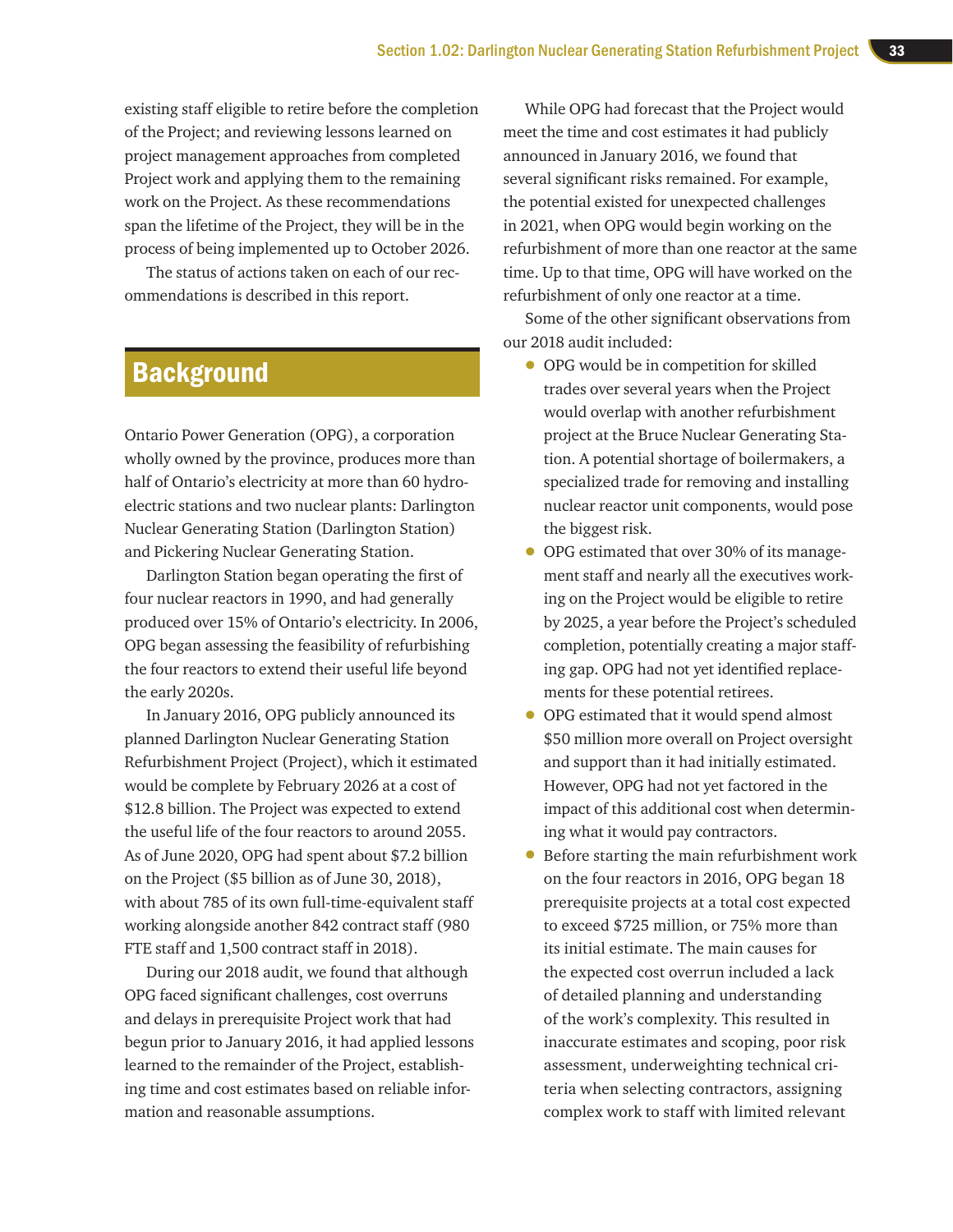existing staff eligible to retire before the completion of the Project; and reviewing lessons learned on project management approaches from completed Project work and applying them to the remaining work on the Project. As these recommendations span the lifetime of the Project, they will be in the process of being implemented up to October 2026.

The status of actions taken on each of our recommendations is described in this report.

## **Background**

Ontario Power Generation (OPG), a corporation wholly owned by the province, produces more than half of Ontario's electricity at more than 60 hydroelectric stations and two nuclear plants: Darlington Nuclear Generating Station (Darlington Station) and Pickering Nuclear Generating Station.

Darlington Station began operating the first of four nuclear reactors in 1990, and had generally produced over 15% of Ontario's electricity. In 2006, OPG began assessing the feasibility of refurbishing the four reactors to extend their useful life beyond the early 2020s.

In January 2016, OPG publicly announced its planned Darlington Nuclear Generating Station Refurbishment Project (Project), which it estimated would be complete by February 2026 at a cost of \$12.8 billion. The Project was expected to extend the useful life of the four reactors to around 2055. As of June 2020, OPG had spent about \$7.2 billion on the Project (\$5 billion as of June 30, 2018), with about 785 of its own full-time-equivalent staff working alongside another 842 contract staff (980 FTE staff and 1,500 contract staff in 2018).

During our 2018 audit, we found that although OPG faced significant challenges, cost overruns and delays in prerequisite Project work that had begun prior to January 2016, it had applied lessons learned to the remainder of the Project, establishing time and cost estimates based on reliable information and reasonable assumptions.

While OPG had forecast that the Project would meet the time and cost estimates it had publicly announced in January 2016, we found that several significant risks remained. For example, the potential existed for unexpected challenges in 2021, when OPG would begin working on the refurbishment of more than one reactor at the same time. Up to that time, OPG will have worked on the refurbishment of only one reactor at a time.

Some of the other significant observations from our 2018 audit included:

- OPG would be in competition for skilled trades over several years when the Project would overlap with another refurbishment project at the Bruce Nuclear Generating Station. A potential shortage of boilermakers, a specialized trade for removing and installing nuclear reactor unit components, would pose the biggest risk.
- OPG estimated that over 30% of its management staff and nearly all the executives working on the Project would be eligible to retire by 2025, a year before the Project's scheduled completion, potentially creating a major staffing gap. OPG had not yet identified replacements for these potential retirees.
- OPG estimated that it would spend almost \$50 million more overall on Project oversight and support than it had initially estimated. However, OPG had not yet factored in the impact of this additional cost when determining what it would pay contractors.
- Before starting the main refurbishment work on the four reactors in 2016, OPG began 18 prerequisite projects at a total cost expected to exceed \$725 million, or 75% more than its initial estimate. The main causes for the expected cost overrun included a lack of detailed planning and understanding of the work's complexity. This resulted in inaccurate estimates and scoping, poor risk assessment, underweighting technical criteria when selecting contractors, assigning complex work to staff with limited relevant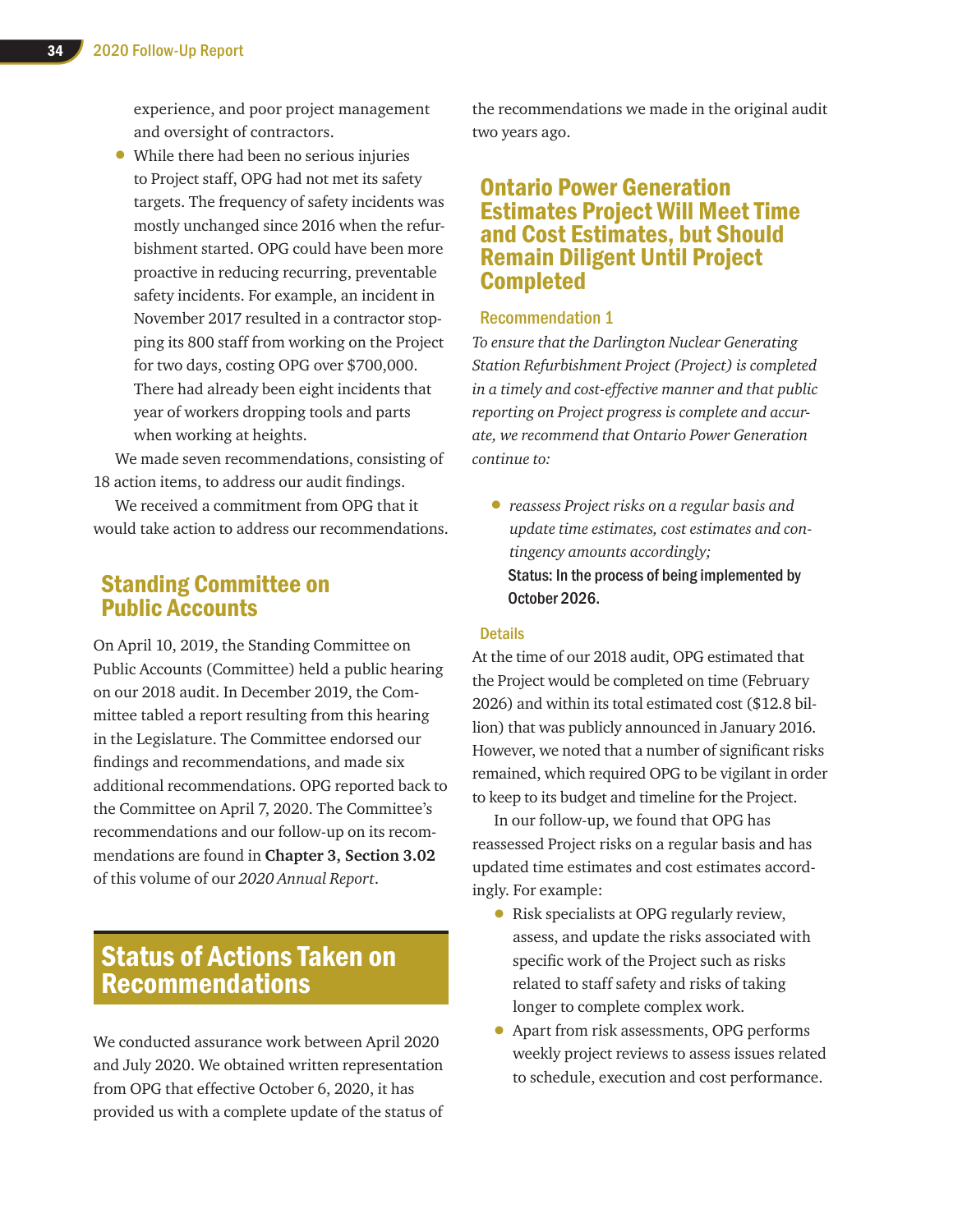experience, and poor project management and oversight of contractors.

• While there had been no serious injuries to Project staff, OPG had not met its safety targets. The frequency of safety incidents was mostly unchanged since 2016 when the refurbishment started. OPG could have been more proactive in reducing recurring, preventable safety incidents. For example, an incident in November 2017 resulted in a contractor stopping its 800 staff from working on the Project for two days, costing OPG over \$700,000. There had already been eight incidents that year of workers dropping tools and parts when working at heights.

We made seven recommendations, consisting of 18 action items, to address our audit findings.

We received a commitment from OPG that it would take action to address our recommendations.

## Standing Committee on Public Accounts

On April 10, 2019, the Standing Committee on Public Accounts (Committee) held a public hearing on our 2018 audit. In December 2019, the Committee tabled a report resulting from this hearing in the Legislature. The Committee endorsed our findings and recommendations, and made six additional recommendations. OPG reported back to the Committee on April 7, 2020. The Committee's recommendations and our follow-up on its recommendations are found in **Chapter 3, Section 3.02** of this volume of our *2020 Annual Report*.

## Status of Actions Taken on Recommendations

We conducted assurance work between April 2020 and July 2020. We obtained written representation from OPG that effective October 6, 2020, it has provided us with a complete update of the status of the recommendations we made in the original audit two years ago.

## Ontario Power Generation Estimates Project Will Meet Time and Cost Estimates, but Should Remain Diligent Until Project Completed

#### Recommendation 1

*To ensure that the Darlington Nuclear Generating Station Refurbishment Project (Project) is completed in a timely and cost-effective manner and that public reporting on Project progress is complete and accurate, we recommend that Ontario Power Generation continue to:* 

• *reassess Project risks on a regular basis and update time estimates, cost estimates and contingency amounts accordingly;*  Status: In the process of being implemented by October 2026.

#### **Details**

At the time of our 2018 audit, OPG estimated that the Project would be completed on time (February 2026) and within its total estimated cost (\$12.8 billion) that was publicly announced in January 2016. However, we noted that a number of significant risks remained, which required OPG to be vigilant in order to keep to its budget and timeline for the Project.

In our follow-up, we found that OPG has reassessed Project risks on a regular basis and has updated time estimates and cost estimates accordingly. For example:

- Risk specialists at OPG regularly review, assess, and update the risks associated with specific work of the Project such as risks related to staff safety and risks of taking longer to complete complex work.
- Apart from risk assessments, OPG performs weekly project reviews to assess issues related to schedule, execution and cost performance.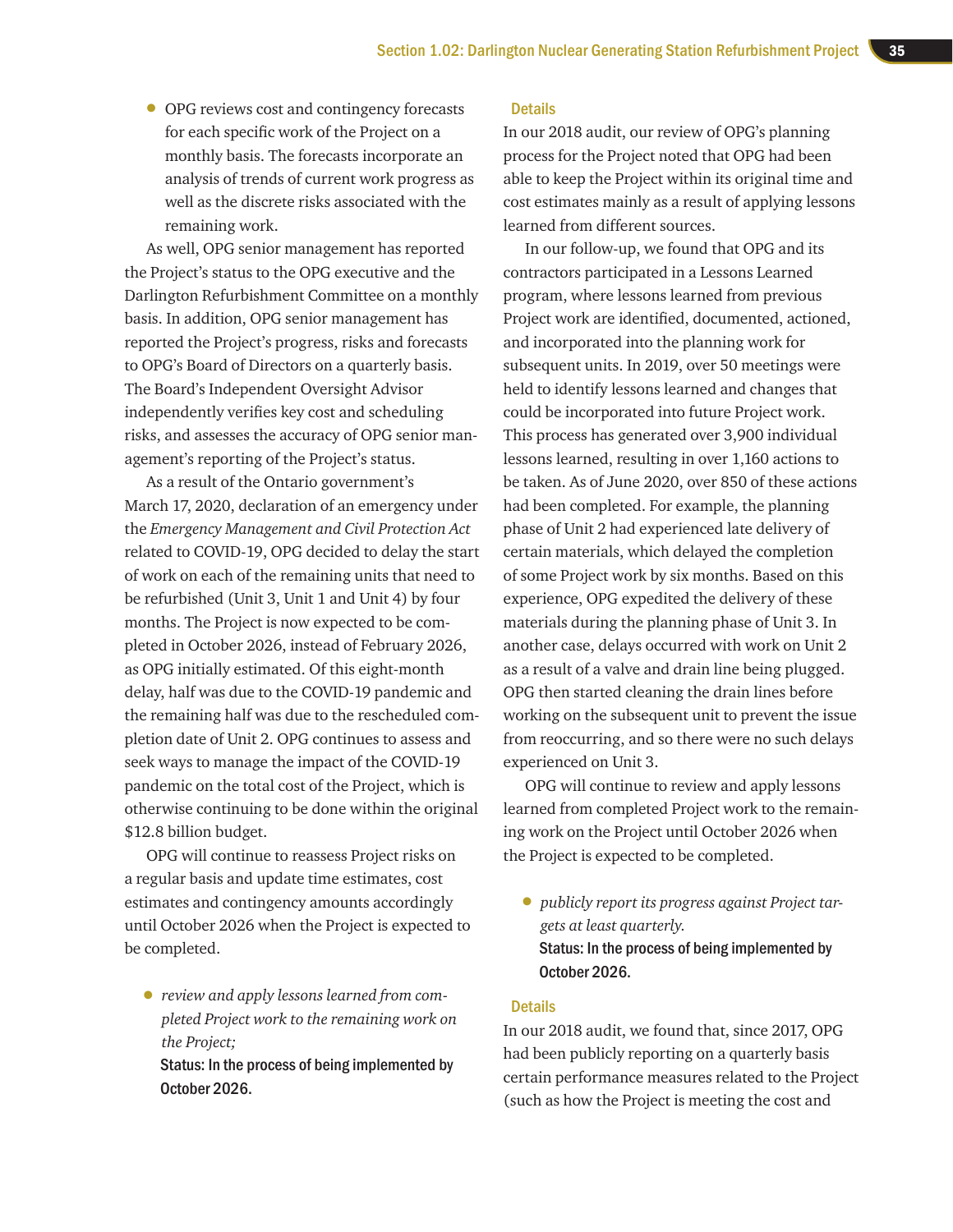• OPG reviews cost and contingency forecasts for each specific work of the Project on a monthly basis. The forecasts incorporate an analysis of trends of current work progress as well as the discrete risks associated with the remaining work.

As well, OPG senior management has reported the Project's status to the OPG executive and the Darlington Refurbishment Committee on a monthly basis. In addition, OPG senior management has reported the Project's progress, risks and forecasts to OPG's Board of Directors on a quarterly basis. The Board's Independent Oversight Advisor independently verifies key cost and scheduling risks, and assesses the accuracy of OPG senior management's reporting of the Project's status.

As a result of the Ontario government's March 17, 2020, declaration of an emergency under the *Emergency Management and Civil Protection Act*  related to COVID-19, OPG decided to delay the start of work on each of the remaining units that need to be refurbished (Unit 3, Unit 1 and Unit 4) by four months. The Project is now expected to be completed in October 2026, instead of February 2026, as OPG initially estimated. Of this eight-month delay, half was due to the COVID-19 pandemic and the remaining half was due to the rescheduled completion date of Unit 2. OPG continues to assess and seek ways to manage the impact of the COVID-19 pandemic on the total cost of the Project, which is otherwise continuing to be done within the original \$12.8 billion budget.

OPG will continue to reassess Project risks on a regular basis and update time estimates, cost estimates and contingency amounts accordingly until October 2026 when the Project is expected to be completed.

• *review and apply lessons learned from completed Project work to the remaining work on the Project;* 

Status: In the process of being implemented by October 2026.

#### **Details**

In our 2018 audit, our review of OPG's planning process for the Project noted that OPG had been able to keep the Project within its original time and cost estimates mainly as a result of applying lessons learned from different sources.

In our follow-up, we found that OPG and its contractors participated in a Lessons Learned program, where lessons learned from previous Project work are identified, documented, actioned, and incorporated into the planning work for subsequent units. In 2019, over 50 meetings were held to identify lessons learned and changes that could be incorporated into future Project work. This process has generated over 3,900 individual lessons learned, resulting in over 1,160 actions to be taken. As of June 2020, over 850 of these actions had been completed. For example, the planning phase of Unit 2 had experienced late delivery of certain materials, which delayed the completion of some Project work by six months. Based on this experience, OPG expedited the delivery of these materials during the planning phase of Unit 3. In another case, delays occurred with work on Unit 2 as a result of a valve and drain line being plugged. OPG then started cleaning the drain lines before working on the subsequent unit to prevent the issue from reoccurring, and so there were no such delays experienced on Unit 3.

OPG will continue to review and apply lessons learned from completed Project work to the remaining work on the Project until October 2026 when the Project is expected to be completed.

• *publicly report its progress against Project targets at least quarterly.* Status: In the process of being implemented by October 2026.

#### **Details**

In our 2018 audit, we found that, since 2017, OPG had been publicly reporting on a quarterly basis certain performance measures related to the Project (such as how the Project is meeting the cost and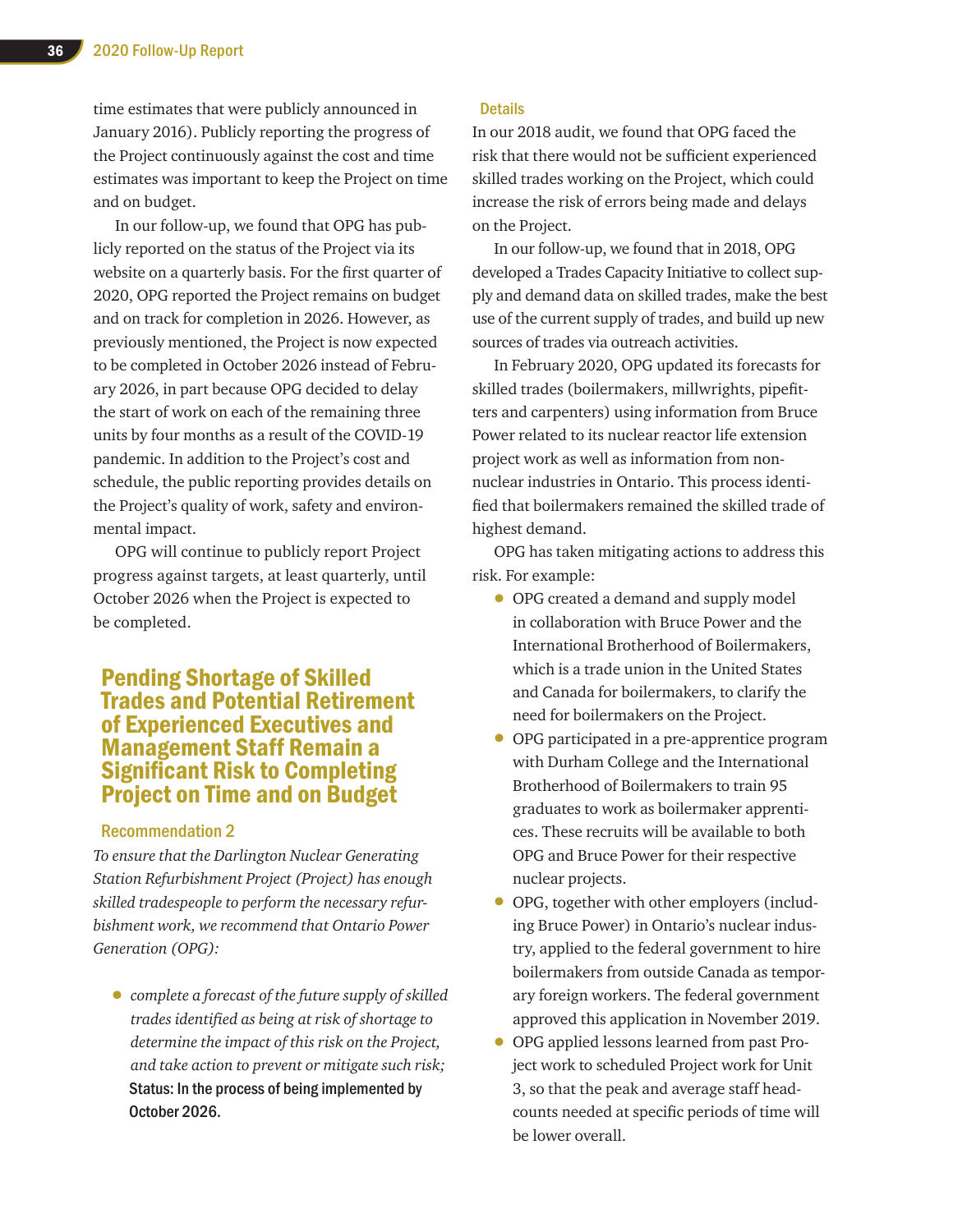time estimates that were publicly announced in January 2016). Publicly reporting the progress of the Project continuously against the cost and time estimates was important to keep the Project on time and on budget.

In our follow-up, we found that OPG has publicly reported on the status of the Project via its website on a quarterly basis. For the first quarter of 2020, OPG reported the Project remains on budget and on track for completion in 2026. However, as previously mentioned, the Project is now expected to be completed in October 2026 instead of February 2026, in part because OPG decided to delay the start of work on each of the remaining three units by four months as a result of the COVID-19 pandemic. In addition to the Project's cost and schedule, the public reporting provides details on the Project's quality of work, safety and environmental impact.

OPG will continue to publicly report Project progress against targets, at least quarterly, until October 2026 when the Project is expected to be completed.

## Pending Shortage of Skilled Trades and Potential Retirement of Experienced Executives and Management Staff Remain a Significant Risk to Completing Project on Time and on Budget

#### Recommendation 2

*To ensure that the Darlington Nuclear Generating Station Refurbishment Project (Project) has enough skilled tradespeople to perform the necessary refurbishment work, we recommend that Ontario Power Generation (OPG):* 

• *complete a forecast of the future supply of skilled trades identified as being at risk of shortage to determine the impact of this risk on the Project, and take action to prevent or mitigate such risk;*  Status: In the process of being implemented by October 2026.

#### **Details**

In our 2018 audit, we found that OPG faced the risk that there would not be sufficient experienced skilled trades working on the Project, which could increase the risk of errors being made and delays on the Project.

In our follow-up, we found that in 2018, OPG developed a Trades Capacity Initiative to collect supply and demand data on skilled trades, make the best use of the current supply of trades, and build up new sources of trades via outreach activities.

In February 2020, OPG updated its forecasts for skilled trades (boilermakers, millwrights, pipefitters and carpenters) using information from Bruce Power related to its nuclear reactor life extension project work as well as information from nonnuclear industries in Ontario. This process identified that boilermakers remained the skilled trade of highest demand.

OPG has taken mitigating actions to address this risk. For example:

- OPG created a demand and supply model in collaboration with Bruce Power and the International Brotherhood of Boilermakers, which is a trade union in the United States and Canada for boilermakers, to clarify the need for boilermakers on the Project.
- OPG participated in a pre-apprentice program with Durham College and the International Brotherhood of Boilermakers to train 95 graduates to work as boilermaker apprentices. These recruits will be available to both OPG and Bruce Power for their respective nuclear projects.
- OPG, together with other employers (including Bruce Power) in Ontario's nuclear industry, applied to the federal government to hire boilermakers from outside Canada as temporary foreign workers. The federal government approved this application in November 2019.
- OPG applied lessons learned from past Project work to scheduled Project work for Unit 3, so that the peak and average staff headcounts needed at specific periods of time will be lower overall.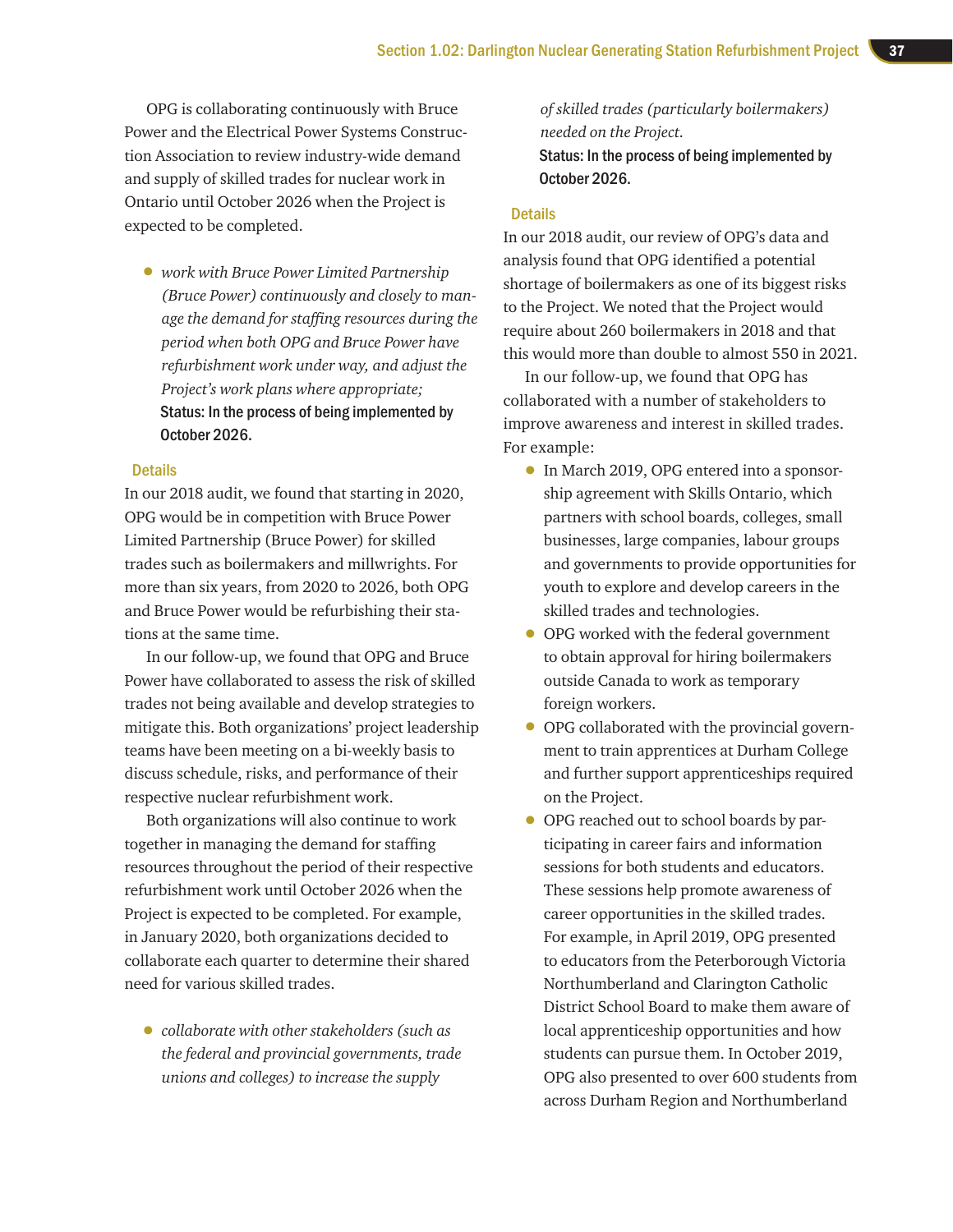OPG is collaborating continuously with Bruce Power and the Electrical Power Systems Construction Association to review industry-wide demand and supply of skilled trades for nuclear work in Ontario until October 2026 when the Project is expected to be completed.

• *work with Bruce Power Limited Partnership (Bruce Power) continuously and closely to manage the demand for staffing resources during the period when both OPG and Bruce Power have refurbishment work under way, and adjust the Project's work plans where appropriate;*  Status: In the process of being implemented by October 2026.

#### **Details**

In our 2018 audit, we found that starting in 2020, OPG would be in competition with Bruce Power Limited Partnership (Bruce Power) for skilled trades such as boilermakers and millwrights. For more than six years, from 2020 to 2026, both OPG and Bruce Power would be refurbishing their stations at the same time.

In our follow-up, we found that OPG and Bruce Power have collaborated to assess the risk of skilled trades not being available and develop strategies to mitigate this. Both organizations' project leadership teams have been meeting on a bi-weekly basis to discuss schedule, risks, and performance of their respective nuclear refurbishment work.

Both organizations will also continue to work together in managing the demand for staffing resources throughout the period of their respective refurbishment work until October 2026 when the Project is expected to be completed. For example, in January 2020, both organizations decided to collaborate each quarter to determine their shared need for various skilled trades.

• *collaborate with other stakeholders (such as the federal and provincial governments, trade unions and colleges) to increase the supply* 

*of skilled trades (particularly boilermakers) needed on the Project.* Status: In the process of being implemented by October 2026.

#### **Details**

In our 2018 audit, our review of OPG's data and analysis found that OPG identified a potential shortage of boilermakers as one of its biggest risks to the Project. We noted that the Project would require about 260 boilermakers in 2018 and that this would more than double to almost 550 in 2021.

In our follow-up, we found that OPG has collaborated with a number of stakeholders to improve awareness and interest in skilled trades. For example:

- In March 2019, OPG entered into a sponsorship agreement with Skills Ontario, which partners with school boards, colleges, small businesses, large companies, labour groups and governments to provide opportunities for youth to explore and develop careers in the skilled trades and technologies.
- OPG worked with the federal government to obtain approval for hiring boilermakers outside Canada to work as temporary foreign workers.
- OPG collaborated with the provincial government to train apprentices at Durham College and further support apprenticeships required on the Project.
- OPG reached out to school boards by participating in career fairs and information sessions for both students and educators. These sessions help promote awareness of career opportunities in the skilled trades. For example, in April 2019, OPG presented to educators from the Peterborough Victoria Northumberland and Clarington Catholic District School Board to make them aware of local apprenticeship opportunities and how students can pursue them. In October 2019, OPG also presented to over 600 students from across Durham Region and Northumberland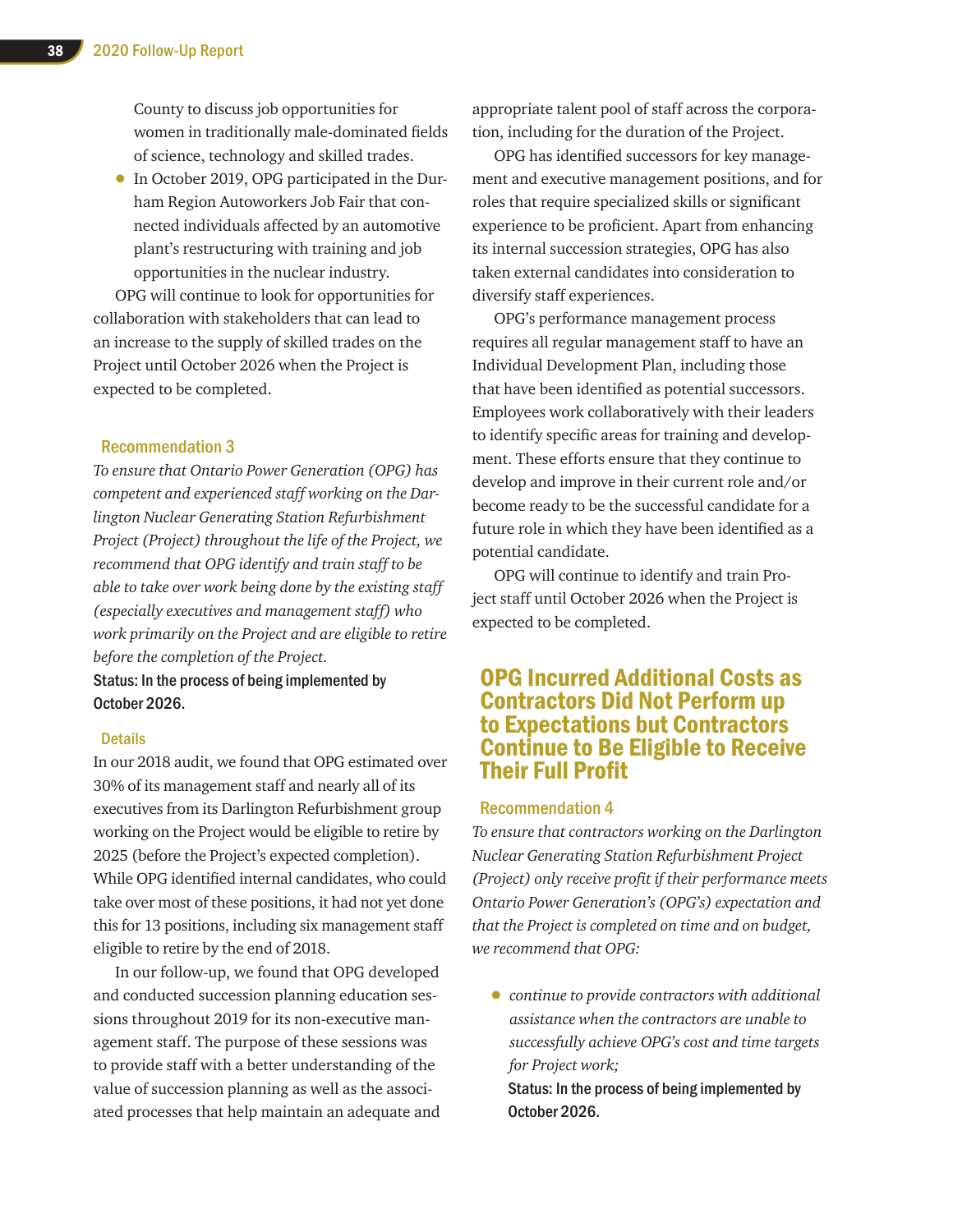County to discuss job opportunities for women in traditionally male-dominated fields of science, technology and skilled trades.

• In October 2019, OPG participated in the Durham Region Autoworkers Job Fair that connected individuals affected by an automotive plant's restructuring with training and job opportunities in the nuclear industry.

OPG will continue to look for opportunities for collaboration with stakeholders that can lead to an increase to the supply of skilled trades on the Project until October 2026 when the Project is expected to be completed.

#### Recommendation 3

*To ensure that Ontario Power Generation (OPG) has competent and experienced staff working on the Darlington Nuclear Generating Station Refurbishment Project (Project) throughout the life of the Project, we recommend that OPG identify and train staff to be able to take over work being done by the existing staff (especially executives and management staff) who work primarily on the Project and are eligible to retire before the completion of the Project.*

Status: In the process of being implemented by October 2026.

#### **Details**

In our 2018 audit, we found that OPG estimated over 30% of its management staff and nearly all of its executives from its Darlington Refurbishment group working on the Project would be eligible to retire by 2025 (before the Project's expected completion). While OPG identified internal candidates, who could take over most of these positions, it had not yet done this for 13 positions, including six management staff eligible to retire by the end of 2018.

In our follow-up, we found that OPG developed and conducted succession planning education sessions throughout 2019 for its non-executive management staff. The purpose of these sessions was to provide staff with a better understanding of the value of succession planning as well as the associated processes that help maintain an adequate and appropriate talent pool of staff across the corporation, including for the duration of the Project.

OPG has identified successors for key management and executive management positions, and for roles that require specialized skills or significant experience to be proficient. Apart from enhancing its internal succession strategies, OPG has also taken external candidates into consideration to diversify staff experiences.

OPG's performance management process requires all regular management staff to have an Individual Development Plan, including those that have been identified as potential successors. Employees work collaboratively with their leaders to identify specific areas for training and development. These efforts ensure that they continue to develop and improve in their current role and/or become ready to be the successful candidate for a future role in which they have been identified as a potential candidate.

OPG will continue to identify and train Project staff until October 2026 when the Project is expected to be completed.

## OPG Incurred Additional Costs as Contractors Did Not Perform up to Expectations but Contractors Continue to Be Eligible to Receive Their Full Profit

#### Recommendation 4

*To ensure that contractors working on the Darlington Nuclear Generating Station Refurbishment Project (Project) only receive profit if their performance meets Ontario Power Generation's (OPG's) expectation and that the Project is completed on time and on budget, we recommend that OPG:* 

• *continue to provide contractors with additional assistance when the contractors are unable to successfully achieve OPG's cost and time targets for Project work;* 

Status: In the process of being implemented by October 2026.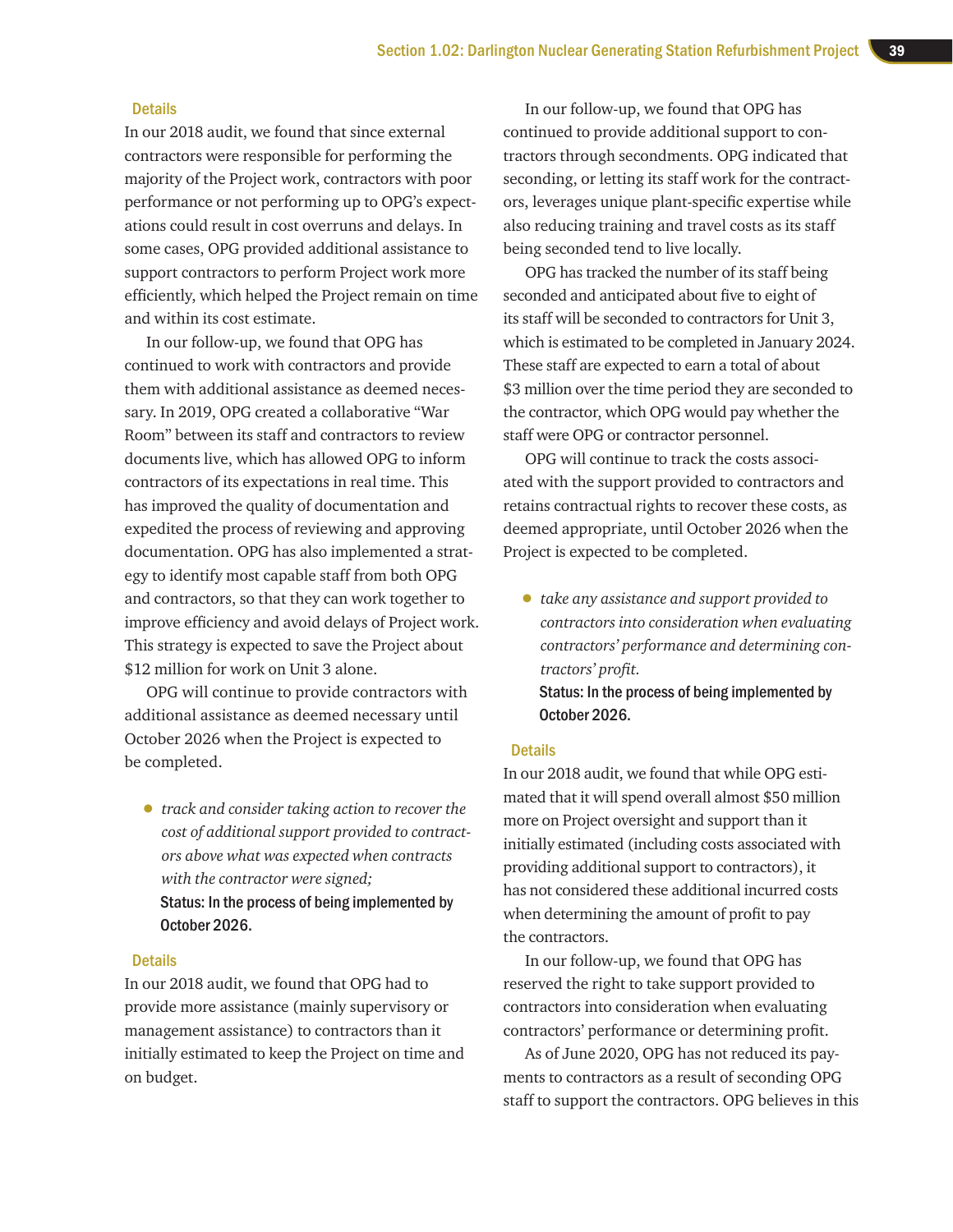#### **Details**

In our 2018 audit, we found that since external contractors were responsible for performing the majority of the Project work, contractors with poor performance or not performing up to OPG's expectations could result in cost overruns and delays. In some cases, OPG provided additional assistance to support contractors to perform Project work more efficiently, which helped the Project remain on time and within its cost estimate.

In our follow-up, we found that OPG has continued to work with contractors and provide them with additional assistance as deemed necessary. In 2019, OPG created a collaborative "War Room" between its staff and contractors to review documents live, which has allowed OPG to inform contractors of its expectations in real time. This has improved the quality of documentation and expedited the process of reviewing and approving documentation. OPG has also implemented a strategy to identify most capable staff from both OPG and contractors, so that they can work together to improve efficiency and avoid delays of Project work. This strategy is expected to save the Project about \$12 million for work on Unit 3 alone.

OPG will continue to provide contractors with additional assistance as deemed necessary until October 2026 when the Project is expected to be completed.

• *track and consider taking action to recover the cost of additional support provided to contractors above what was expected when contracts with the contractor were signed;*  Status: In the process of being implemented by October 2026.

#### **Details**

In our 2018 audit, we found that OPG had to provide more assistance (mainly supervisory or management assistance) to contractors than it initially estimated to keep the Project on time and on budget.

In our follow-up, we found that OPG has continued to provide additional support to contractors through secondments. OPG indicated that seconding, or letting its staff work for the contractors, leverages unique plant-specific expertise while also reducing training and travel costs as its staff being seconded tend to live locally.

OPG has tracked the number of its staff being seconded and anticipated about five to eight of its staff will be seconded to contractors for Unit 3, which is estimated to be completed in January 2024. These staff are expected to earn a total of about \$3 million over the time period they are seconded to the contractor, which OPG would pay whether the staff were OPG or contractor personnel.

OPG will continue to track the costs associated with the support provided to contractors and retains contractual rights to recover these costs, as deemed appropriate, until October 2026 when the Project is expected to be completed.

• *take any assistance and support provided to contractors into consideration when evaluating contractors' performance and determining contractors' profit.*

Status: In the process of being implemented by October 2026.

#### **Details**

In our 2018 audit, we found that while OPG estimated that it will spend overall almost \$50 million more on Project oversight and support than it initially estimated (including costs associated with providing additional support to contractors), it has not considered these additional incurred costs when determining the amount of profit to pay the contractors.

In our follow-up, we found that OPG has reserved the right to take support provided to contractors into consideration when evaluating contractors' performance or determining profit.

As of June 2020, OPG has not reduced its payments to contractors as a result of seconding OPG staff to support the contractors. OPG believes in this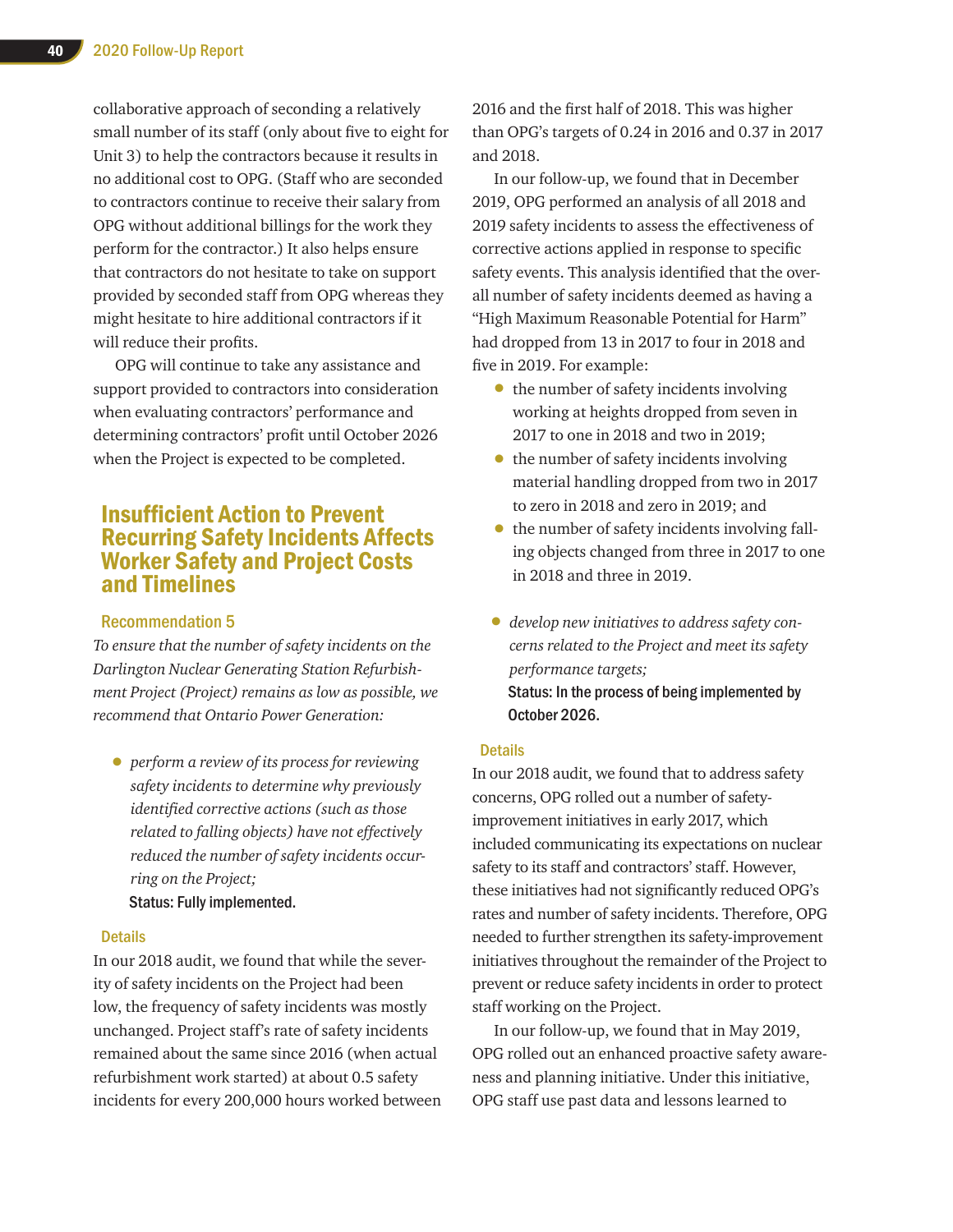collaborative approach of seconding a relatively small number of its staff (only about five to eight for Unit 3) to help the contractors because it results in no additional cost to OPG. (Staff who are seconded to contractors continue to receive their salary from OPG without additional billings for the work they perform for the contractor.) It also helps ensure that contractors do not hesitate to take on support provided by seconded staff from OPG whereas they might hesitate to hire additional contractors if it will reduce their profits.

OPG will continue to take any assistance and support provided to contractors into consideration when evaluating contractors' performance and determining contractors' profit until October 2026 when the Project is expected to be completed.

## Insufficient Action to Prevent Recurring Safety Incidents Affects Worker Safety and Project Costs and Timelines

#### Recommendation 5

*To ensure that the number of safety incidents on the Darlington Nuclear Generating Station Refurbishment Project (Project) remains as low as possible, we recommend that Ontario Power Generation:* 

• *perform a review of its process for reviewing safety incidents to determine why previously identified corrective actions (such as those related to falling objects) have not effectively reduced the number of safety incidents occurring on the Project;*  Status: Fully implemented.

#### **Details**

In our 2018 audit, we found that while the severity of safety incidents on the Project had been low, the frequency of safety incidents was mostly unchanged. Project staff's rate of safety incidents remained about the same since 2016 (when actual refurbishment work started) at about 0.5 safety incidents for every 200,000 hours worked between 2016 and the first half of 2018. This was higher than OPG's targets of 0.24 in 2016 and 0.37 in 2017 and 2018.

In our follow-up, we found that in December 2019, OPG performed an analysis of all 2018 and 2019 safety incidents to assess the effectiveness of corrective actions applied in response to specific safety events. This analysis identified that the overall number of safety incidents deemed as having a "High Maximum Reasonable Potential for Harm" had dropped from 13 in 2017 to four in 2018 and five in 2019. For example:

- the number of safety incidents involving working at heights dropped from seven in 2017 to one in 2018 and two in 2019;
- the number of safety incidents involving material handling dropped from two in 2017 to zero in 2018 and zero in 2019; and
- the number of safety incidents involving falling objects changed from three in 2017 to one in 2018 and three in 2019.
- *develop new initiatives to address safety concerns related to the Project and meet its safety performance targets;*  Status: In the process of being implemented by October 2026.

#### **Details**

In our 2018 audit, we found that to address safety concerns, OPG rolled out a number of safetyimprovement initiatives in early 2017, which included communicating its expectations on nuclear safety to its staff and contractors' staff. However, these initiatives had not significantly reduced OPG's rates and number of safety incidents. Therefore, OPG needed to further strengthen its safety-improvement initiatives throughout the remainder of the Project to prevent or reduce safety incidents in order to protect staff working on the Project.

In our follow-up, we found that in May 2019, OPG rolled out an enhanced proactive safety awareness and planning initiative. Under this initiative, OPG staff use past data and lessons learned to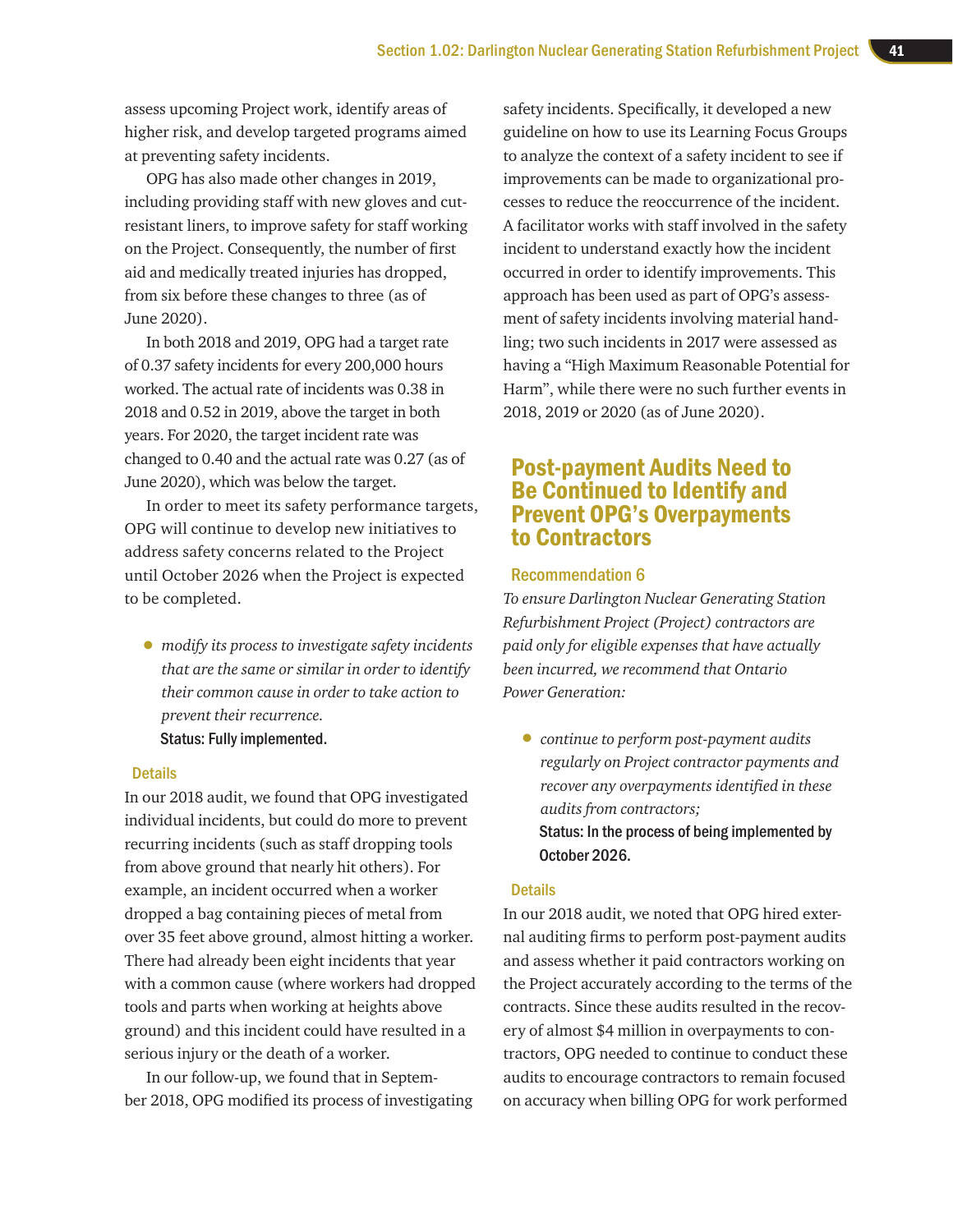assess upcoming Project work, identify areas of higher risk, and develop targeted programs aimed at preventing safety incidents.

OPG has also made other changes in 2019, including providing staff with new gloves and cutresistant liners, to improve safety for staff working on the Project. Consequently, the number of first aid and medically treated injuries has dropped, from six before these changes to three (as of June 2020).

In both 2018 and 2019, OPG had a target rate of 0.37 safety incidents for every 200,000 hours worked. The actual rate of incidents was 0.38 in 2018 and 0.52 in 2019, above the target in both years. For 2020, the target incident rate was changed to 0.40 and the actual rate was 0.27 (as of June 2020), which was below the target.

In order to meet its safety performance targets, OPG will continue to develop new initiatives to address safety concerns related to the Project until October 2026 when the Project is expected to be completed.

• *modify its process to investigate safety incidents that are the same or similar in order to identify their common cause in order to take action to prevent their recurrence.* Status: Fully implemented.

#### **Details**

In our 2018 audit, we found that OPG investigated individual incidents, but could do more to prevent recurring incidents (such as staff dropping tools from above ground that nearly hit others). For example, an incident occurred when a worker dropped a bag containing pieces of metal from over 35 feet above ground, almost hitting a worker. There had already been eight incidents that year with a common cause (where workers had dropped tools and parts when working at heights above ground) and this incident could have resulted in a serious injury or the death of a worker.

In our follow-up, we found that in September 2018, OPG modified its process of investigating

safety incidents. Specifically, it developed a new guideline on how to use its Learning Focus Groups to analyze the context of a safety incident to see if improvements can be made to organizational processes to reduce the reoccurrence of the incident. A facilitator works with staff involved in the safety incident to understand exactly how the incident occurred in order to identify improvements. This approach has been used as part of OPG's assessment of safety incidents involving material handling; two such incidents in 2017 were assessed as having a "High Maximum Reasonable Potential for Harm", while there were no such further events in 2018, 2019 or 2020 (as of June 2020).

## Post-payment Audits Need to Be Continued to Identify and Prevent OPG's Overpayments to Contractors

#### Recommendation 6

*To ensure Darlington Nuclear Generating Station Refurbishment Project (Project) contractors are paid only for eligible expenses that have actually been incurred, we recommend that Ontario Power Generation:* 

• *continue to perform post-payment audits regularly on Project contractor payments and recover any overpayments identified in these audits from contractors;* Status: In the process of being implemented by October 2026.

#### **Details**

In our 2018 audit, we noted that OPG hired external auditing firms to perform post-payment audits and assess whether it paid contractors working on the Project accurately according to the terms of the contracts. Since these audits resulted in the recovery of almost \$4 million in overpayments to contractors, OPG needed to continue to conduct these audits to encourage contractors to remain focused on accuracy when billing OPG for work performed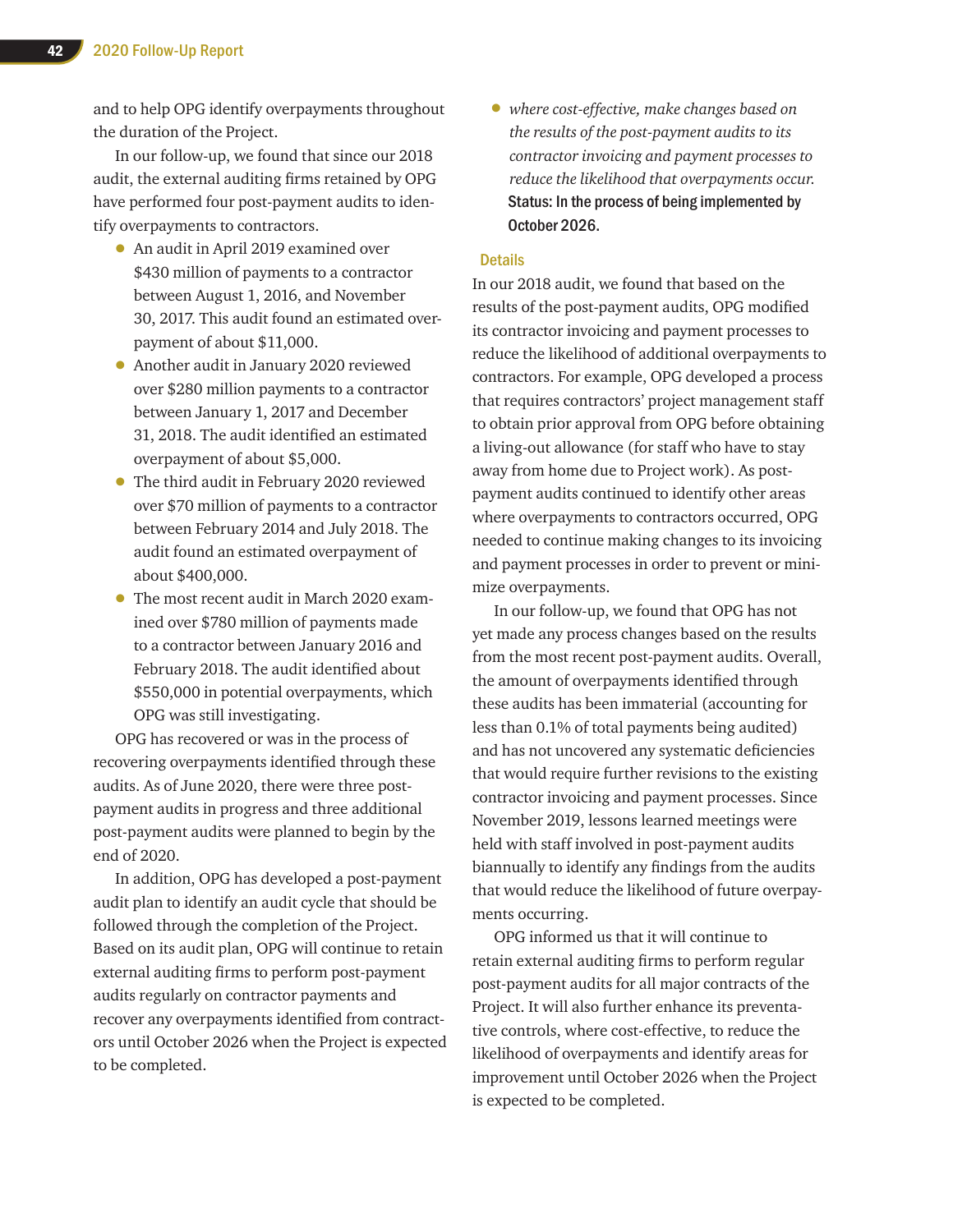and to help OPG identify overpayments throughout the duration of the Project.

In our follow-up, we found that since our 2018 audit, the external auditing firms retained by OPG have performed four post-payment audits to identify overpayments to contractors.

- An audit in April 2019 examined over \$430 million of payments to a contractor between August 1, 2016, and November 30, 2017. This audit found an estimated overpayment of about \$11,000.
- Another audit in January 2020 reviewed over \$280 million payments to a contractor between January 1, 2017 and December 31, 2018. The audit identified an estimated overpayment of about \$5,000.
- The third audit in February 2020 reviewed over \$70 million of payments to a contractor between February 2014 and July 2018. The audit found an estimated overpayment of about \$400,000.
- The most recent audit in March 2020 examined over \$780 million of payments made to a contractor between January 2016 and February 2018. The audit identified about \$550,000 in potential overpayments, which OPG was still investigating.

OPG has recovered or was in the process of recovering overpayments identified through these audits. As of June 2020, there were three postpayment audits in progress and three additional post-payment audits were planned to begin by the end of 2020.

In addition, OPG has developed a post-payment audit plan to identify an audit cycle that should be followed through the completion of the Project. Based on its audit plan, OPG will continue to retain external auditing firms to perform post-payment audits regularly on contractor payments and recover any overpayments identified from contractors until October 2026 when the Project is expected to be completed.

• *where cost-effective, make changes based on the results of the post-payment audits to its contractor invoicing and payment processes to reduce the likelihood that overpayments occur.* Status: In the process of being implemented by October 2026.

#### **Details**

In our 2018 audit, we found that based on the results of the post-payment audits, OPG modified its contractor invoicing and payment processes to reduce the likelihood of additional overpayments to contractors. For example, OPG developed a process that requires contractors' project management staff to obtain prior approval from OPG before obtaining a living-out allowance (for staff who have to stay away from home due to Project work). As postpayment audits continued to identify other areas where overpayments to contractors occurred, OPG needed to continue making changes to its invoicing and payment processes in order to prevent or minimize overpayments.

In our follow-up, we found that OPG has not yet made any process changes based on the results from the most recent post-payment audits. Overall, the amount of overpayments identified through these audits has been immaterial (accounting for less than 0.1% of total payments being audited) and has not uncovered any systematic deficiencies that would require further revisions to the existing contractor invoicing and payment processes. Since November 2019, lessons learned meetings were held with staff involved in post-payment audits biannually to identify any findings from the audits that would reduce the likelihood of future overpayments occurring.

OPG informed us that it will continue to retain external auditing firms to perform regular post-payment audits for all major contracts of the Project. It will also further enhance its preventative controls, where cost-effective, to reduce the likelihood of overpayments and identify areas for improvement until October 2026 when the Project is expected to be completed.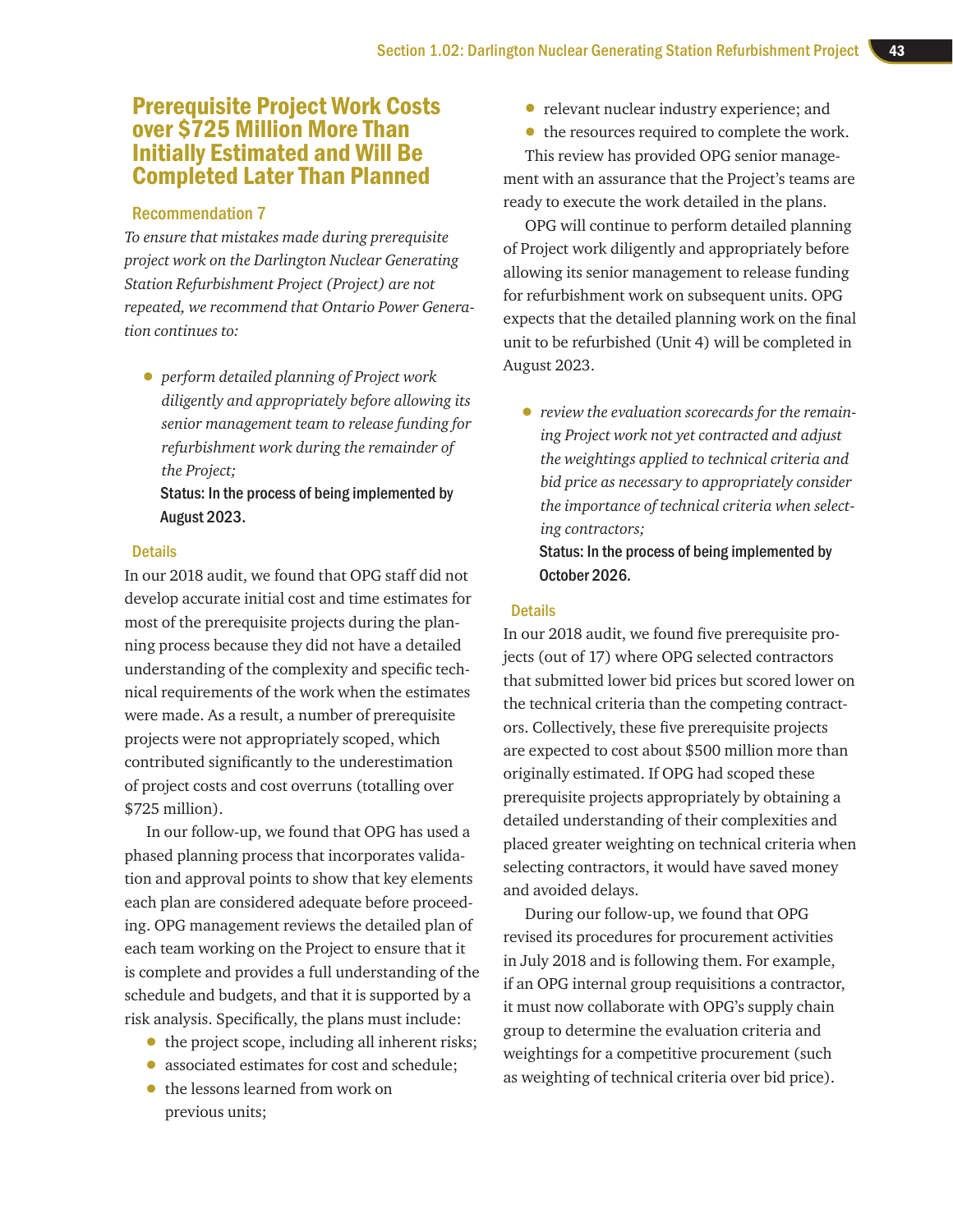## Prerequisite Project Work Costs over \$725 Million More Than Initially Estimated and Will Be Completed Later Than Planned

#### Recommendation 7

*To ensure that mistakes made during prerequisite project work on the Darlington Nuclear Generating Station Refurbishment Project (Project) are not repeated, we recommend that Ontario Power Generation continues to:* 

• *perform detailed planning of Project work diligently and appropriately before allowing its senior management team to release funding for refurbishment work during the remainder of the Project;* 

Status: In the process of being implemented by August 2023.

#### **Details**

In our 2018 audit, we found that OPG staff did not develop accurate initial cost and time estimates for most of the prerequisite projects during the planning process because they did not have a detailed understanding of the complexity and specific technical requirements of the work when the estimates were made. As a result, a number of prerequisite projects were not appropriately scoped, which contributed significantly to the underestimation of project costs and cost overruns (totalling over \$725 million).

In our follow-up, we found that OPG has used a phased planning process that incorporates validation and approval points to show that key elements each plan are considered adequate before proceeding. OPG management reviews the detailed plan of each team working on the Project to ensure that it is complete and provides a full understanding of the schedule and budgets, and that it is supported by a risk analysis. Specifically, the plans must include:

- the project scope, including all inherent risks;
- associated estimates for cost and schedule;
- the lessons learned from work on previous units;
- relevant nuclear industry experience; and
- the resources required to complete the work.

This review has provided OPG senior management with an assurance that the Project's teams are ready to execute the work detailed in the plans.

OPG will continue to perform detailed planning of Project work diligently and appropriately before allowing its senior management to release funding for refurbishment work on subsequent units. OPG expects that the detailed planning work on the final unit to be refurbished (Unit 4) will be completed in August 2023.

• *review the evaluation scorecards for the remaining Project work not yet contracted and adjust the weightings applied to technical criteria and bid price as necessary to appropriately consider the importance of technical criteria when selecting contractors;* 

#### Status: In the process of being implemented by October 2026.

#### **Details**

In our 2018 audit, we found five prerequisite projects (out of 17) where OPG selected contractors that submitted lower bid prices but scored lower on the technical criteria than the competing contractors. Collectively, these five prerequisite projects are expected to cost about \$500 million more than originally estimated. If OPG had scoped these prerequisite projects appropriately by obtaining a detailed understanding of their complexities and placed greater weighting on technical criteria when selecting contractors, it would have saved money and avoided delays.

During our follow-up, we found that OPG revised its procedures for procurement activities in July 2018 and is following them. For example, if an OPG internal group requisitions a contractor, it must now collaborate with OPG's supply chain group to determine the evaluation criteria and weightings for a competitive procurement (such as weighting of technical criteria over bid price).